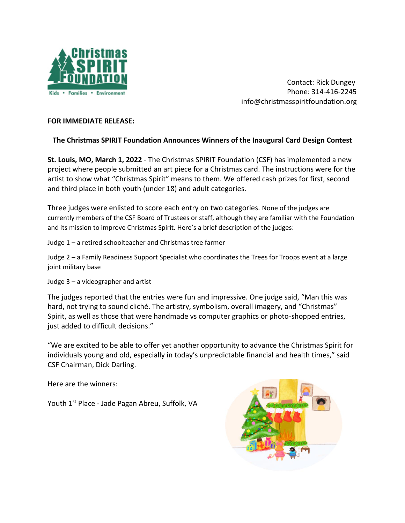

 Contact: Rick Dungey Phone: 314-416-2245 info@christmasspiritfoundation.org

## **FOR IMMEDIATE RELEASE:**

## **The Christmas SPIRIT Foundation Announces Winners of the Inaugural Card Design Contest**

**St. Louis, MO, March 1, 2022** - The Christmas SPIRIT Foundation (CSF) has implemented a new project where people submitted an art piece for a Christmas card. The instructions were for the artist to show what "Christmas Spirit" means to them. We offered cash prizes for first, second and third place in both youth (under 18) and adult categories.

Three judges were enlisted to score each entry on two categories. None of the judges are currently members of the CSF Board of Trustees or staff, although they are familiar with the Foundation and its mission to improve Christmas Spirit. Here's a brief description of the judges:

Judge 1 – a retired schoolteacher and Christmas tree farmer

Judge 2 – a Family Readiness Support Specialist who coordinates the Trees for Troops event at a large joint military base

Judge 3 – a videographer and artist

The judges reported that the entries were fun and impressive. One judge said, "Man this was hard, not trying to sound cliché. The artistry, symbolism, overall imagery, and "Christmas" Spirit, as well as those that were handmade vs computer graphics or photo-shopped entries, just added to difficult decisions."

"We are excited to be able to offer yet another opportunity to advance the Christmas Spirit for individuals young and old, especially in today's unpredictable financial and health times," said CSF Chairman, Dick Darling.

Here are the winners:

Youth 1<sup>st</sup> Place - Jade Pagan Abreu, Suffolk, VA

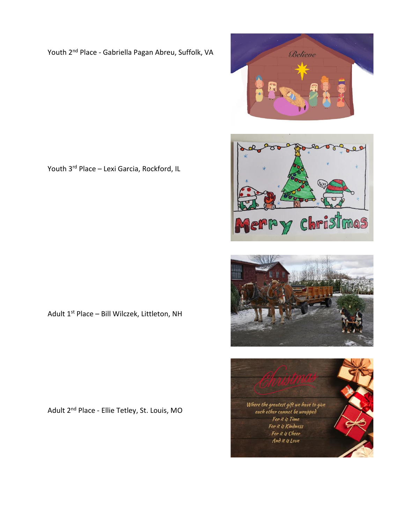







Youth 3rd Place - Lexi Garcia, Rockford, IL

Youth 2nd Place - Gabriella Pagan Abreu, Suffolk, VA

Adult 1st Place – Bill Wilczek, Littleton, NH

Adult 2nd Place - Ellie Tetley, St. Louis, MO